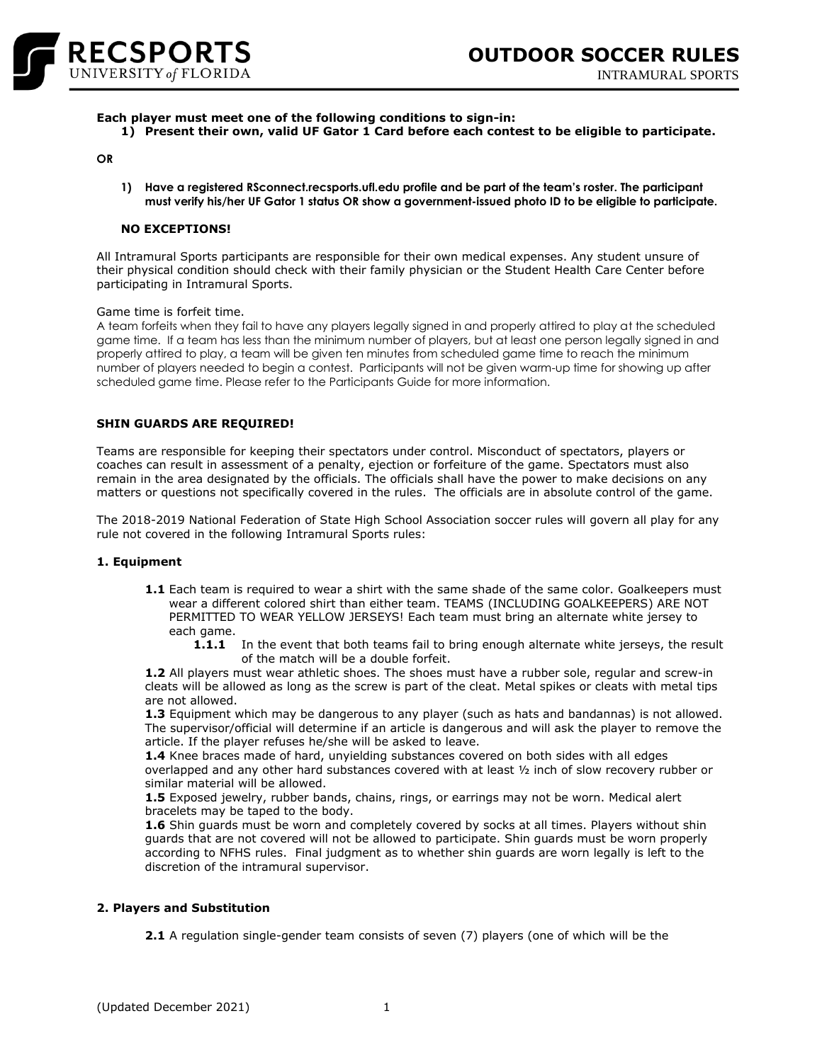

**Each player must meet one of the following conditions to sign-in:**

**1) Present their own, valid UF Gator 1 Card before each contest to be eligible to participate.**

#### **OR**

**1) Have a registered RSconnect.recsports.ufl.edu profile and be part of the team's roster. The participant must verify his/her UF Gator 1 status OR show a government-issued photo ID to be eligible to participate.**

### **NO EXCEPTIONS!**

All Intramural Sports participants are responsible for their own medical expenses. Any student unsure of their physical condition should check with their family physician or the Student Health Care Center before participating in Intramural Sports.

#### Game time is forfeit time.

A team forfeits when they fail to have any players legally signed in and properly attired to play at the scheduled game time. If a team has less than the minimum number of players, but at least one person legally signed in and properly attired to play, a team will be given ten minutes from scheduled game time to reach the minimum number of players needed to begin a contest. Participants will not be given warm-up time for showing up after scheduled game time. Please refer to the Participants Guide for more information.

### **SHIN GUARDS ARE REQUIRED!**

Teams are responsible for keeping their spectators under control. Misconduct of spectators, players or coaches can result in assessment of a penalty, ejection or forfeiture of the game. Spectators must also remain in the area designated by the officials. The officials shall have the power to make decisions on any matters or questions not specifically covered in the rules. The officials are in absolute control of the game.

The 2018-2019 National Federation of State High School Association soccer rules will govern all play for any rule not covered in the following Intramural Sports rules:

### **1. Equipment**

- 1.1 Each team is required to wear a shirt with the same shade of the same color. Goalkeepers must wear a different colored shirt than either team. TEAMS (INCLUDING GOALKEEPERS) ARE NOT PERMITTED TO WEAR YELLOW JERSEYS! Each team must bring an alternate white jersey to each game.
	- **1.1.1** In the event that both teams fail to bring enough alternate white jerseys, the result of the match will be a double forfeit.

**1.2** All players must wear athletic shoes. The shoes must have a rubber sole, regular and screw-in cleats will be allowed as long as the screw is part of the cleat. Metal spikes or cleats with metal tips are not allowed.

**1.3** Equipment which may be dangerous to any player (such as hats and bandannas) is not allowed. The supervisor/official will determine if an article is dangerous and will ask the player to remove the article. If the player refuses he/she will be asked to leave.

**1.4** Knee braces made of hard, unyielding substances covered on both sides with all edges overlapped and any other hard substances covered with at least ½ inch of slow recovery rubber or similar material will be allowed.

**1.5** Exposed jewelry, rubber bands, chains, rings, or earrings may not be worn. Medical alert bracelets may be taped to the body.

**1.6** Shin guards must be worn and completely covered by socks at all times. Players without shin guards that are not covered will not be allowed to participate. Shin guards must be worn properly according to NFHS rules. Final judgment as to whether shin guards are worn legally is left to the discretion of the intramural supervisor.

# **2. Players and Substitution**

**2.1** A regulation single-gender team consists of seven (7) players (one of which will be the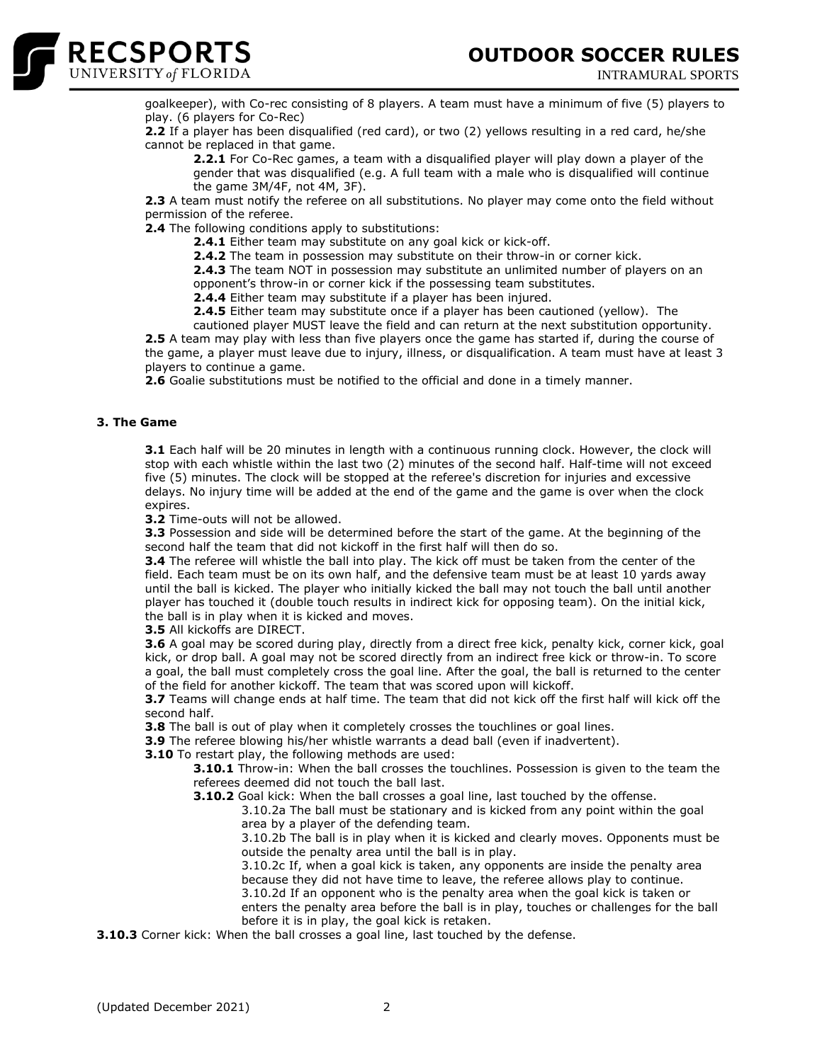

INTRAMURAL SPORTS



goalkeeper), with Co-rec consisting of 8 players. A team must have a minimum of five (5) players to play. (6 players for Co-Rec)

**2.2** If a player has been disqualified (red card), or two (2) yellows resulting in a red card, he/she cannot be replaced in that game.

**2.2.1** For Co-Rec games, a team with a disqualified player will play down a player of the gender that was disqualified (e.g. A full team with a male who is disqualified will continue the game 3M/4F, not 4M, 3F).

**2.3** A team must notify the referee on all substitutions. No player may come onto the field without permission of the referee.

**2.4** The following conditions apply to substitutions:

**2.4.1** Either team may substitute on any goal kick or kick-off.

**2.4.2** The team in possession may substitute on their throw-in or corner kick.

**2.4.3** The team NOT in possession may substitute an unlimited number of players on an opponent's throw-in or corner kick if the possessing team substitutes.

**2.4.4** Either team may substitute if a player has been injured.

**2.4.5** Either team may substitute once if a player has been cautioned (yellow). The

cautioned player MUST leave the field and can return at the next substitution opportunity. **2.5** A team may play with less than five players once the game has started if, during the course of the game, a player must leave due to injury, illness, or disqualification. A team must have at least 3 players to continue a game.

**2.6** Goalie substitutions must be notified to the official and done in a timely manner.

# **3. The Game**

**3.1** Each half will be 20 minutes in length with a continuous running clock. However, the clock will stop with each whistle within the last two (2) minutes of the second half. Half-time will not exceed five (5) minutes. The clock will be stopped at the referee's discretion for injuries and excessive delays. No injury time will be added at the end of the game and the game is over when the clock expires.

**3.2** Time-outs will not be allowed.

**3.3** Possession and side will be determined before the start of the game. At the beginning of the second half the team that did not kickoff in the first half will then do so.

**3.4** The referee will whistle the ball into play. The kick off must be taken from the center of the field. Each team must be on its own half, and the defensive team must be at least 10 yards away until the ball is kicked. The player who initially kicked the ball may not touch the ball until another player has touched it (double touch results in indirect kick for opposing team). On the initial kick, the ball is in play when it is kicked and moves.

**3.5** All kickoffs are DIRECT.

**3.6** A goal may be scored during play, directly from a direct free kick, penalty kick, corner kick, goal kick, or drop ball. A goal may not be scored directly from an indirect free kick or throw-in. To score a goal, the ball must completely cross the goal line. After the goal, the ball is returned to the center of the field for another kickoff. The team that was scored upon will kickoff.

**3.7** Teams will change ends at half time. The team that did not kick off the first half will kick off the second half.

**3.8** The ball is out of play when it completely crosses the touchlines or goal lines.

**3.9** The referee blowing his/her whistle warrants a dead ball (even if inadvertent).

**3.10** To restart play, the following methods are used:

**3.10.1** Throw-in: When the ball crosses the touchlines. Possession is given to the team the referees deemed did not touch the ball last.

**3.10.2** Goal kick: When the ball crosses a goal line, last touched by the offense.

3.10.2a The ball must be stationary and is kicked from any point within the goal area by a player of the defending team.

3.10.2b The ball is in play when it is kicked and clearly moves. Opponents must be outside the penalty area until the ball is in play.

3.10.2c If, when a goal kick is taken, any opponents are inside the penalty area because they did not have time to leave, the referee allows play to continue. 3.10.2d If an opponent who is the penalty area when the goal kick is taken or enters the penalty area before the ball is in play, touches or challenges for the ball before it is in play, the goal kick is retaken.

**3.10.3** Corner kick: When the ball crosses a goal line, last touched by the defense.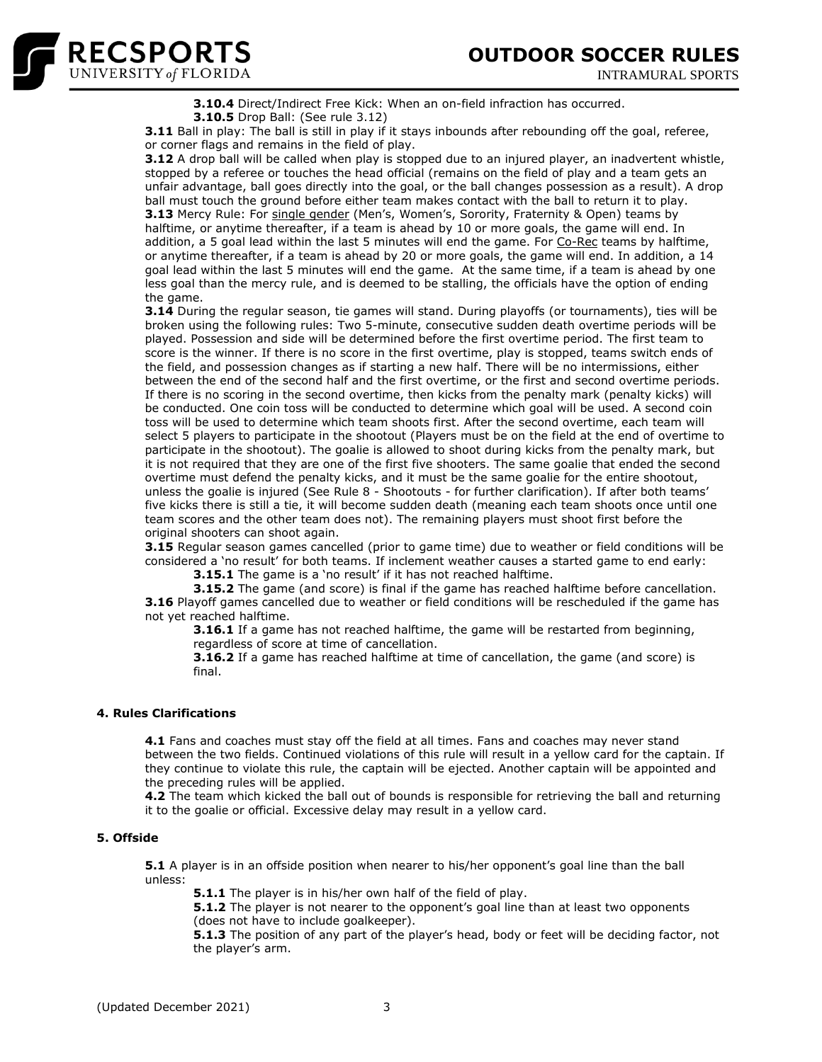

INTRAMURAL SPORTS



**3.10.4** Direct/Indirect Free Kick: When an on-field infraction has occurred. **3.10.5** Drop Ball: (See rule 3.12)

**3.11** Ball in play: The ball is still in play if it stays inbounds after rebounding off the goal, referee, or corner flags and remains in the field of play.

**3.12** A drop ball will be called when play is stopped due to an injured player, an inadvertent whistle, stopped by a referee or touches the head official (remains on the field of play and a team gets an unfair advantage, ball goes directly into the goal, or the ball changes possession as a result). A drop ball must touch the ground before either team makes contact with the ball to return it to play. **3.13** Mercy Rule: For single gender (Men's, Women's, Sorority, Fraternity & Open) teams by halftime, or anytime thereafter, if a team is ahead by 10 or more goals, the game will end. In addition, a 5 goal lead within the last 5 minutes will end the game. For Co-Rec teams by halftime, or anytime thereafter, if a team is ahead by 20 or more goals, the game will end. In addition, a 14 goal lead within the last 5 minutes will end the game. At the same time, if a team is ahead by one less goal than the mercy rule, and is deemed to be stalling, the officials have the option of ending the game.

**3.14** During the regular season, tie games will stand. During playoffs (or tournaments), ties will be broken using the following rules: Two 5-minute, consecutive sudden death overtime periods will be played. Possession and side will be determined before the first overtime period. The first team to score is the winner. If there is no score in the first overtime, play is stopped, teams switch ends of the field, and possession changes as if starting a new half. There will be no intermissions, either between the end of the second half and the first overtime, or the first and second overtime periods. If there is no scoring in the second overtime, then kicks from the penalty mark (penalty kicks) will be conducted. One coin toss will be conducted to determine which goal will be used. A second coin toss will be used to determine which team shoots first. After the second overtime, each team will select 5 players to participate in the shootout (Players must be on the field at the end of overtime to participate in the shootout). The goalie is allowed to shoot during kicks from the penalty mark, but it is not required that they are one of the first five shooters. The same goalie that ended the second overtime must defend the penalty kicks, and it must be the same goalie for the entire shootout, unless the goalie is injured (See Rule 8 - Shootouts - for further clarification). If after both teams' five kicks there is still a tie, it will become sudden death (meaning each team shoots once until one team scores and the other team does not). The remaining players must shoot first before the original shooters can shoot again.

**3.15** Regular season games cancelled (prior to game time) due to weather or field conditions will be considered a 'no result' for both teams. If inclement weather causes a started game to end early:

**3.15.1** The game is a 'no result' if it has not reached halftime.

**3.15.2** The game (and score) is final if the game has reached halftime before cancellation. **3.16** Playoff games cancelled due to weather or field conditions will be rescheduled if the game has not yet reached halftime.

**3.16.1** If a game has not reached halftime, the game will be restarted from beginning, regardless of score at time of cancellation.

**3.16.2** If a game has reached halftime at time of cancellation, the game (and score) is final.

# **4. Rules Clarifications**

**4.1** Fans and coaches must stay off the field at all times. Fans and coaches may never stand between the two fields. Continued violations of this rule will result in a yellow card for the captain. If they continue to violate this rule, the captain will be ejected. Another captain will be appointed and the preceding rules will be applied.

**4.2** The team which kicked the ball out of bounds is responsible for retrieving the ball and returning it to the goalie or official. Excessive delay may result in a yellow card.

# **5. Offside**

**5.1** A player is in an offside position when nearer to his/her opponent's goal line than the ball unless:

**5.1.1** The player is in his/her own half of the field of play.

**5.1.2** The player is not nearer to the opponent's goal line than at least two opponents (does not have to include goalkeeper).

**5.1.3** The position of any part of the player's head, body or feet will be deciding factor, not the player's arm.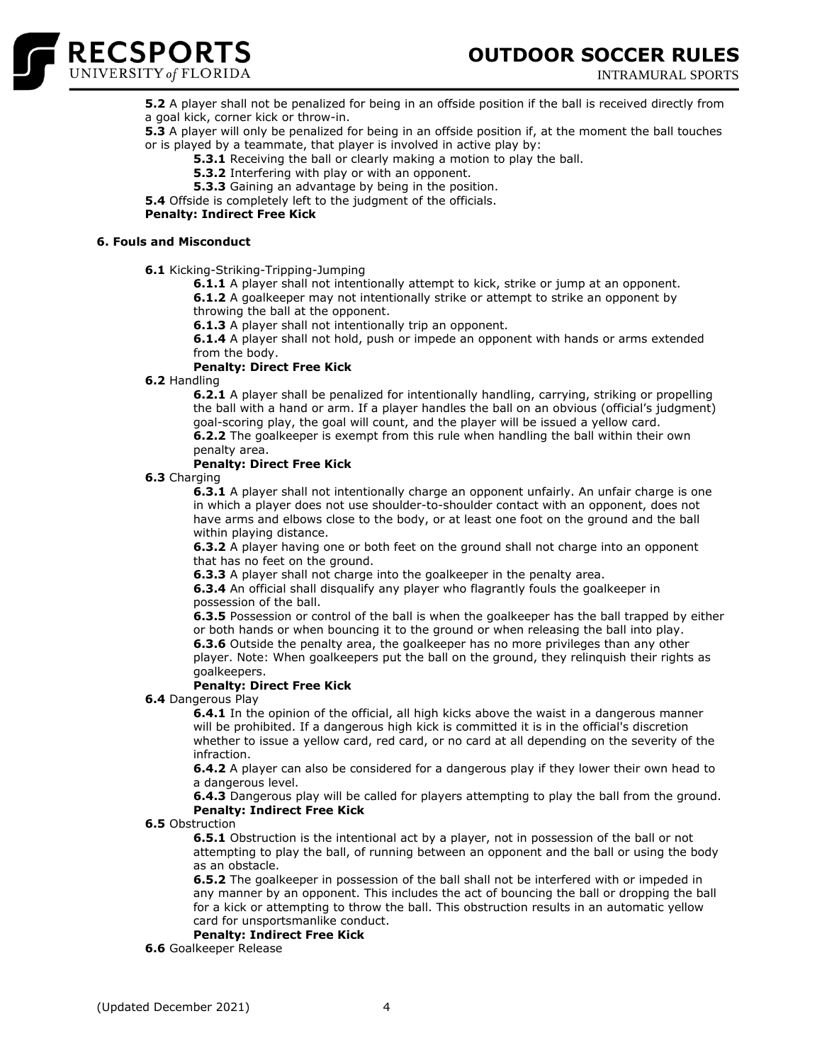

**OUTDOOR SOCCER RULES**

INTRAMURAL SPORTS

**5.2** A player shall not be penalized for being in an offside position if the ball is received directly from a goal kick, corner kick or throw-in.

**5.3** A player will only be penalized for being in an offside position if, at the moment the ball touches or is played by a teammate, that player is involved in active play by:

**5.3.1** Receiving the ball or clearly making a motion to play the ball.

- **5.3.2** Interfering with play or with an opponent.
- **5.3.3** Gaining an advantage by being in the position.

**5.4** Offside is completely left to the judgment of the officials.

### **Penalty: Indirect Free Kick**

# **6. Fouls and Misconduct**

**6.1** Kicking-Striking-Tripping-Jumping

**6.1.1** A player shall not intentionally attempt to kick, strike or jump at an opponent. **6.1.2** A goalkeeper may not intentionally strike or attempt to strike an opponent by throwing the ball at the opponent.

**6.1.3** A player shall not intentionally trip an opponent.

**6.1.4** A player shall not hold, push or impede an opponent with hands or arms extended from the body.

### **Penalty: Direct Free Kick**

**6.2** Handling

**6.2.1** A player shall be penalized for intentionally handling, carrying, striking or propelling the ball with a hand or arm. If a player handles the ball on an obvious (official's judgment) goal-scoring play, the goal will count, and the player will be issued a yellow card. **6.2.2** The goalkeeper is exempt from this rule when handling the ball within their own

penalty area.

# **Penalty: Direct Free Kick**

**6.3** Charging

**6.3.1** A player shall not intentionally charge an opponent unfairly. An unfair charge is one in which a player does not use shoulder-to-shoulder contact with an opponent, does not have arms and elbows close to the body, or at least one foot on the ground and the ball within playing distance.

**6.3.2** A player having one or both feet on the ground shall not charge into an opponent that has no feet on the ground.

**6.3.3** A player shall not charge into the goalkeeper in the penalty area.

**6.3.4** An official shall disqualify any player who flagrantly fouls the goalkeeper in possession of the ball.

**6.3.5** Possession or control of the ball is when the goalkeeper has the ball trapped by either or both hands or when bouncing it to the ground or when releasing the ball into play. **6.3.6** Outside the penalty area, the goalkeeper has no more privileges than any other player. Note: When goalkeepers put the ball on the ground, they relinquish their rights as goalkeepers.

# **Penalty: Direct Free Kick**

**6.4** Dangerous Play

**6.4.1** In the opinion of the official, all high kicks above the waist in a dangerous manner will be prohibited. If a dangerous high kick is committed it is in the official's discretion whether to issue a yellow card, red card, or no card at all depending on the severity of the infraction.

**6.4.2** A player can also be considered for a dangerous play if they lower their own head to a dangerous level.

**6.4.3** Dangerous play will be called for players attempting to play the ball from the ground. **Penalty: Indirect Free Kick**

**6.5** Obstruction

**6.5.1** Obstruction is the intentional act by a player, not in possession of the ball or not attempting to play the ball, of running between an opponent and the ball or using the body as an obstacle.

**6.5.2** The goalkeeper in possession of the ball shall not be interfered with or impeded in any manner by an opponent. This includes the act of bouncing the ball or dropping the ball for a kick or attempting to throw the ball. This obstruction results in an automatic yellow card for unsportsmanlike conduct.

# **Penalty: Indirect Free Kick**

**6.6** Goalkeeper Release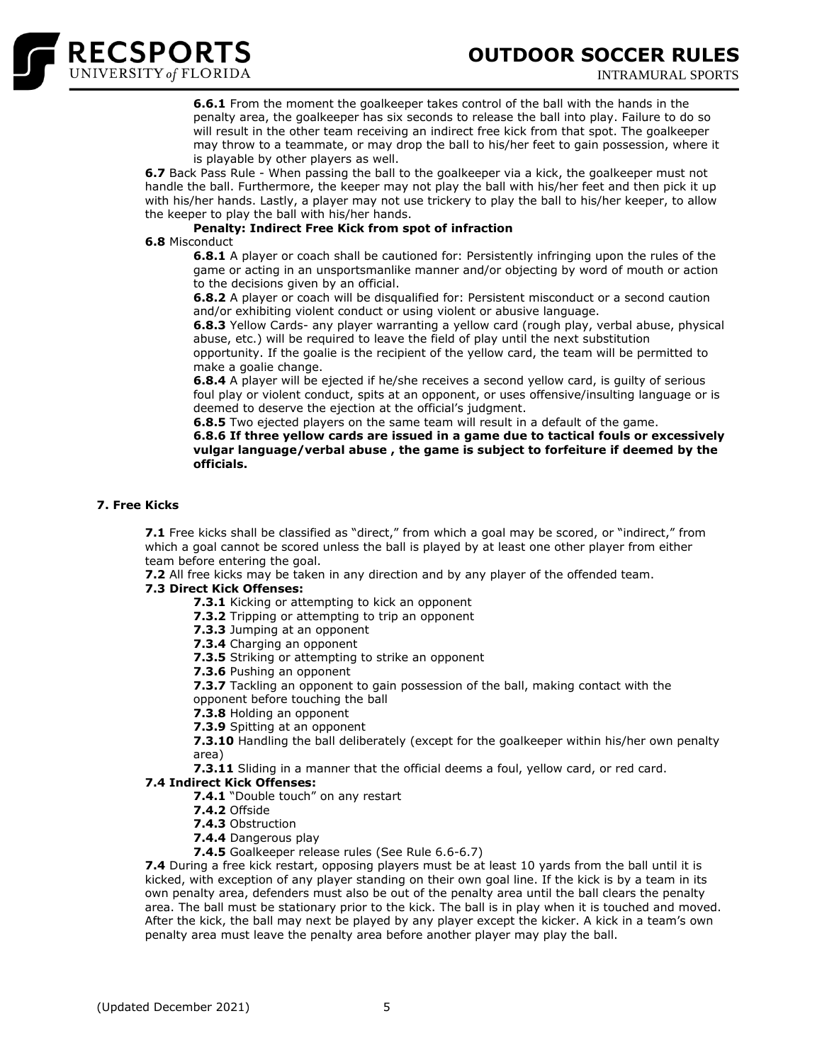



**6.6.1** From the moment the goalkeeper takes control of the ball with the hands in the penalty area, the goalkeeper has six seconds to release the ball into play. Failure to do so will result in the other team receiving an indirect free kick from that spot. The goalkeeper may throw to a teammate, or may drop the ball to his/her feet to gain possession, where it is playable by other players as well.

**6.7** Back Pass Rule - When passing the ball to the goalkeeper via a kick, the goalkeeper must not handle the ball. Furthermore, the keeper may not play the ball with his/her feet and then pick it up with his/her hands. Lastly, a player may not use trickery to play the ball to his/her keeper, to allow the keeper to play the ball with his/her hands.

# **Penalty: Indirect Free Kick from spot of infraction**

### **6.8** Misconduct

**6.8.1** A player or coach shall be cautioned for: Persistently infringing upon the rules of the game or acting in an unsportsmanlike manner and/or objecting by word of mouth or action to the decisions given by an official.

**6.8.2** A player or coach will be disqualified for: Persistent misconduct or a second caution and/or exhibiting violent conduct or using violent or abusive language.

**6.8.3** Yellow Cards- any player warranting a yellow card (rough play, verbal abuse, physical abuse, etc.) will be required to leave the field of play until the next substitution

opportunity. If the goalie is the recipient of the yellow card, the team will be permitted to make a goalie change.

**6.8.4** A player will be ejected if he/she receives a second yellow card, is quilty of serious foul play or violent conduct, spits at an opponent, or uses offensive/insulting language or is deemed to deserve the ejection at the official's judgment.

**6.8.5** Two ejected players on the same team will result in a default of the game.

**6.8.6 If three yellow cards are issued in a game due to tactical fouls or excessively vulgar language/verbal abuse , the game is subject to forfeiture if deemed by the officials.** 

# **7. Free Kicks**

**7.1** Free kicks shall be classified as "direct," from which a goal may be scored, or "indirect," from which a goal cannot be scored unless the ball is played by at least one other player from either team before entering the goal.

**7.2** All free kicks may be taken in any direction and by any player of the offended team.

# **7.3 Direct Kick Offenses:**

- **7.3.1** Kicking or attempting to kick an opponent
- **7.3.2** Tripping or attempting to trip an opponent

**7.3.3** Jumping at an opponent

**7.3.4** Charging an opponent

**7.3.5** Striking or attempting to strike an opponent

**7.3.6** Pushing an opponent

**7.3.7** Tackling an opponent to gain possession of the ball, making contact with the opponent before touching the ball

- **7.3.8** Holding an opponent
- **7.3.9** Spitting at an opponent

**7.3.10** Handling the ball deliberately (except for the goalkeeper within his/her own penalty area)

**7.3.11** Sliding in a manner that the official deems a foul, yellow card, or red card.

# **7.4 Indirect Kick Offenses:**

**7.4.1** "Double touch" on any restart

- **7.4.2** Offside
- **7.4.3** Obstruction
- **7.4.4** Dangerous play
- **7.4.5** Goalkeeper release rules (See Rule 6.6-6.7)

**7.4** During a free kick restart, opposing players must be at least 10 yards from the ball until it is kicked, with exception of any player standing on their own goal line. If the kick is by a team in its own penalty area, defenders must also be out of the penalty area until the ball clears the penalty area. The ball must be stationary prior to the kick. The ball is in play when it is touched and moved. After the kick, the ball may next be played by any player except the kicker. A kick in a team's own penalty area must leave the penalty area before another player may play the ball.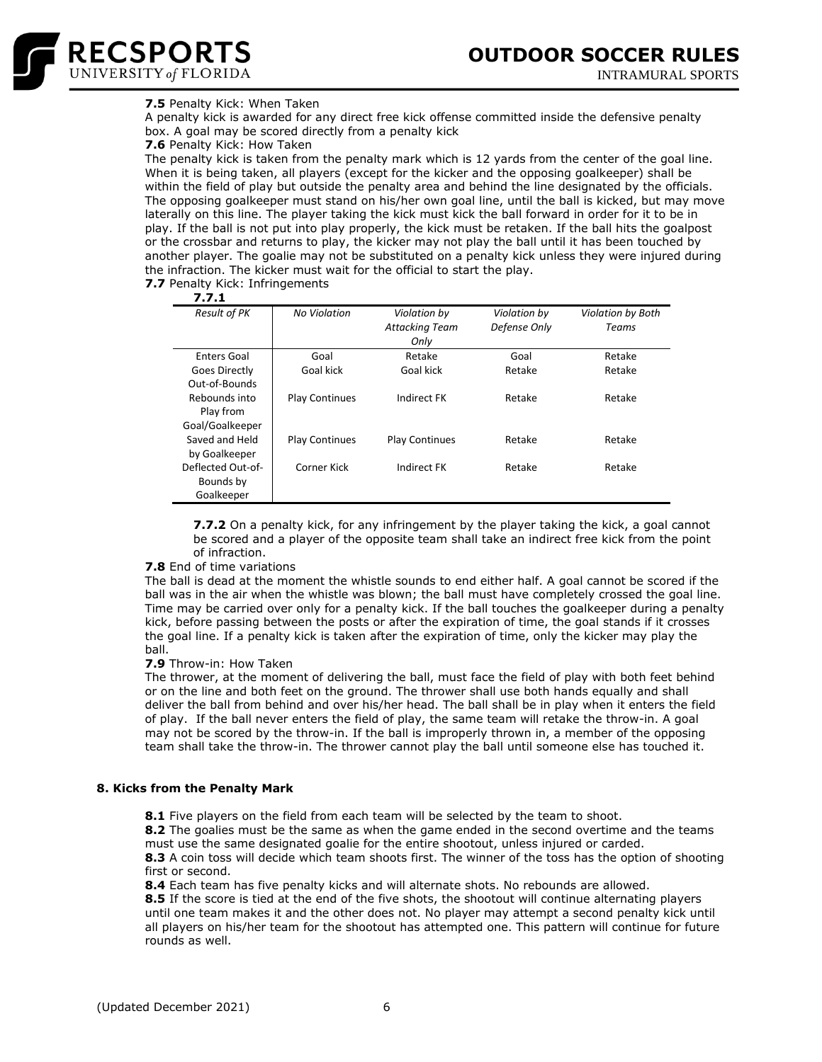

# **7.5** Penalty Kick: When Taken

A penalty kick is awarded for any direct free kick offense committed inside the defensive penalty box. A goal may be scored directly from a penalty kick

**7.6** Penalty Kick: How Taken

The penalty kick is taken from the penalty mark which is 12 yards from the center of the goal line. When it is being taken, all players (except for the kicker and the opposing goalkeeper) shall be within the field of play but outside the penalty area and behind the line designated by the officials. The opposing goalkeeper must stand on his/her own goal line, until the ball is kicked, but may move laterally on this line. The player taking the kick must kick the ball forward in order for it to be in play. If the ball is not put into play properly, the kick must be retaken. If the ball hits the goalpost or the crossbar and returns to play, the kicker may not play the ball until it has been touched by another player. The goalie may not be substituted on a penalty kick unless they were injured during the infraction. The kicker must wait for the official to start the play.

**7.7** Penalty Kick: Infringements

**7.7.1** *Result of PK No Violation Violation by Attacking Team Only Violation by Defense Only Violation by Both Teams* Enters Goal Goal Retake Goal Retake Goes Directly Out-of-Bounds Goal kick Goal kick Retake Retake Retake Rebounds into Play from Goal/Goalkeeper Play Continues Indirect FK Retake Retake Saved and Held by Goalkeeper Play Continues Play Continues Retake Retake Deflected Out-of-Bounds by Goalkeeper Corner Kick Indirect FK Retake Retake

**7.7.2** On a penalty kick, for any infringement by the player taking the kick, a goal cannot be scored and a player of the opposite team shall take an indirect free kick from the point of infraction.

# **7.8** End of time variations

The ball is dead at the moment the whistle sounds to end either half. A goal cannot be scored if the ball was in the air when the whistle was blown; the ball must have completely crossed the goal line. Time may be carried over only for a penalty kick. If the ball touches the goalkeeper during a penalty kick, before passing between the posts or after the expiration of time, the goal stands if it crosses the goal line. If a penalty kick is taken after the expiration of time, only the kicker may play the ball.

# **7.9** Throw-in: How Taken

The thrower, at the moment of delivering the ball, must face the field of play with both feet behind or on the line and both feet on the ground. The thrower shall use both hands equally and shall deliver the ball from behind and over his/her head. The ball shall be in play when it enters the field of play. If the ball never enters the field of play, the same team will retake the throw-in. A goal may not be scored by the throw-in. If the ball is improperly thrown in, a member of the opposing team shall take the throw-in. The thrower cannot play the ball until someone else has touched it.

#### **8. Kicks from the Penalty Mark**

**8.1** Five players on the field from each team will be selected by the team to shoot.

**8.2** The goalies must be the same as when the game ended in the second overtime and the teams must use the same designated goalie for the entire shootout, unless injured or carded.

**8.3** A coin toss will decide which team shoots first. The winner of the toss has the option of shooting first or second.

**8.4** Each team has five penalty kicks and will alternate shots. No rebounds are allowed.

**8.5** If the score is tied at the end of the five shots, the shootout will continue alternating players until one team makes it and the other does not. No player may attempt a second penalty kick until all players on his/her team for the shootout has attempted one. This pattern will continue for future rounds as well.